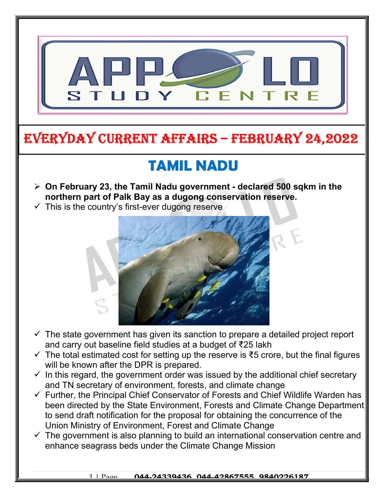

## EVERYDAY CURRENT AFFAIRS – FEBRUARY 24,2022

## TAMIL NADU

- $\geq$  On February 23, the Tamil Nadu government declared 500 sqkm in the northern part of Palk Bay as a dugong conservation reserve.
- $\checkmark$  This is the country's first-ever dugong reserve

-



- $\checkmark$  The state government has given its sanction to prepare a detailed project report and carry out baseline field studies at a budget of ₹25 lakh
- $\checkmark$  The total estimated cost for setting up the reserve is  $\check{\tau}$ 5 crore, but the final figures will be known after the DPR is prepared.
- $\checkmark$  In this regard, the government order was issued by the additional chief secretary and TN secretary of environment, forests, and climate change
- $\checkmark$  Further, the Principal Chief Conservator of Forests and Chief Wildlife Warden has been directed by the State Environment, Forests and Climate Change Department to send draft notification for the proposal for obtaining the concurrence of the Union Ministry of Environment, Forest and Climate Change
- $\checkmark$  The government is also planning to build an international conservation centre and enhance seagrass beds under the Climate Change Mission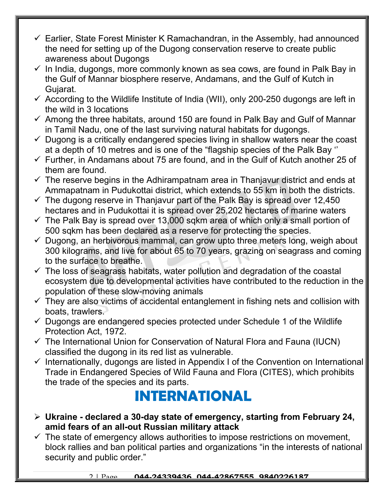- $\checkmark$  Earlier, State Forest Minister K Ramachandran, in the Assembly, had announced the need for setting up of the Dugong conservation reserve to create public awareness about Dugongs
- $\checkmark$  In India, dugongs, more commonly known as sea cows, are found in Palk Bay in the Gulf of Mannar biosphere reserve, Andamans, and the Gulf of Kutch in Gujarat.
- $\checkmark$  According to the Wildlife Institute of India (WII), only 200-250 dugongs are left in the wild in 3 locations
- $\checkmark$  Among the three habitats, around 150 are found in Palk Bay and Gulf of Mannar in Tamil Nadu, one of the last surviving natural habitats for dugongs.
- $\checkmark$  Dugong is a critically endangered species living in shallow waters near the coast at a depth of 10 metres and is one of the "flagship species of the Palk Bay ''
- $\checkmark$  Further, in Andamans about 75 are found, and in the Gulf of Kutch another 25 of them are found.
- $\checkmark$  The reserve begins in the Adhirampatnam area in Thanjavur district and ends at Ammapatnam in Pudukottai district, which extends to 55 km in both the districts.
- $\checkmark$  The dugong reserve in Thanjavur part of the Palk Bay is spread over 12,450 hectares and in Pudukottai it is spread over 25,202 hectares of marine waters
- $\checkmark$  The Palk Bay is spread over 13,000 sqkm area of which only a small portion of 500 sqkm has been declared as a reserve for protecting the species.
- $\checkmark$  Dugong, an herbivorous mammal, can grow upto three meters long, weigh about 300 kilograms, and live for about 65 to 70 years, grazing on seagrass and coming to the surface to breathe.
- $\checkmark$  The loss of seagrass habitats, water pollution and degradation of the coastal ecosystem due to developmental activities have contributed to the reduction in the population of these slow-moving animals
- $\checkmark$  They are also victims of accidental entanglement in fishing nets and collision with boats, trawlers.
- $\checkmark$  Dugongs are endangered species protected under Schedule 1 of the Wildlife Protection Act, 1972.
- $\checkmark$  The International Union for Conservation of Natural Flora and Fauna (IUCN) classified the dugong in its red list as vulnerable.
- $\checkmark$  Internationally, dugongs are listed in Appendix I of the Convention on International Trade in Endangered Species of Wild Fauna and Flora (CITES), which prohibits the trade of the species and its parts.

## INTERNATIONAL

- $\triangleright$  Ukraine declared a 30-day state of emergency, starting from February 24, amid fears of an all-out Russian military attack
- $\checkmark$  The state of emergency allows authorities to impose restrictions on movement, block rallies and ban political parties and organizations "in the interests of national security and public order."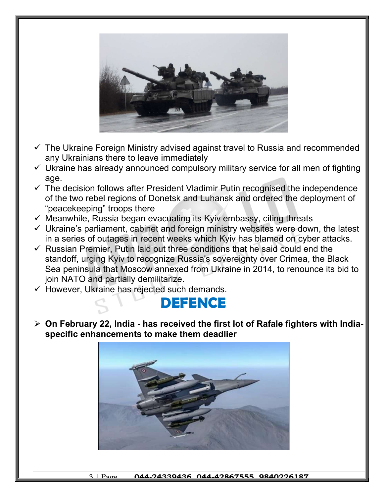

- $\checkmark$  The Ukraine Foreign Ministry advised against travel to Russia and recommended any Ukrainians there to leave immediately
- $\checkmark$  Ukraine has already announced compulsory military service for all men of fighting age.
- $\checkmark$  The decision follows after President Vladimir Putin recognised the independence of the two rebel regions of Donetsk and Luhansk and ordered the deployment of "peacekeeping" troops there
- $\checkmark$  Meanwhile, Russia began evacuating its Kyiv embassy, citing threats
- $\checkmark$  Ukraine's parliament, cabinet and foreign ministry websites were down, the latest in a series of outages in recent weeks which Kyiv has blamed on cyber attacks.
- $\checkmark$  Russian Premier, Putin laid out three conditions that he said could end the standoff, urging Kyiv to recognize Russia's sovereignty over Crimea, the Black Sea peninsula that Moscow annexed from Ukraine in 2014, to renounce its bid to join NATO and partially demilitarize.
- $\checkmark$  However, Ukraine has rejected such demands.



 $\triangleright$  On February 22, India - has received the first lot of Rafale fighters with Indiaspecific enhancements to make them deadlier

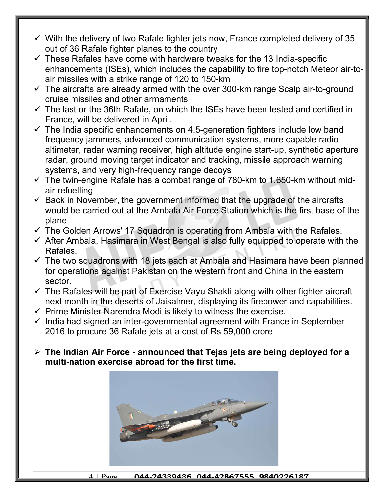- $\checkmark$  With the delivery of two Rafale fighter jets now, France completed delivery of 35 out of 36 Rafale fighter planes to the country
- $\checkmark$  These Rafales have come with hardware tweaks for the 13 India-specific enhancements (ISEs), which includes the capability to fire top-notch Meteor air-toair missiles with a strike range of 120 to 150-km
- $\checkmark$  The aircrafts are already armed with the over 300-km range Scalp air-to-ground cruise missiles and other armaments
- $\checkmark$  The last or the 36th Rafale, on which the ISEs have been tested and certified in France, will be delivered in April.
- $\checkmark$  The India specific enhancements on 4.5-generation fighters include low band frequency jammers, advanced communication systems, more capable radio altimeter, radar warning receiver, high altitude engine start-up, synthetic aperture radar, ground moving target indicator and tracking, missile approach warning systems, and very high-frequency range decoys
- $\checkmark$  The twin-engine Rafale has a combat range of 780-km to 1,650-km without midair refuelling
- $\checkmark$  Back in November, the government informed that the upgrade of the aircrafts would be carried out at the Ambala Air Force Station which is the first base of the plane
- $\checkmark$  The Golden Arrows' 17 Squadron is operating from Ambala with the Rafales.
- $\checkmark$  After Ambala, Hasimara in West Bengal is also fully equipped to operate with the Rafales.
- $\checkmark$  The two squadrons with 18 jets each at Ambala and Hasimara have been planned for operations against Pakistan on the western front and China in the eastern sector.
- $\checkmark$  The Rafales will be part of Exercise Vayu Shakti along with other fighter aircraft next month in the deserts of Jaisalmer, displaying its firepower and capabilities.
- $\checkmark$  Prime Minister Narendra Modi is likely to witness the exercise.
- $\checkmark$  India had signed an inter-governmental agreement with France in September 2016 to procure 36 Rafale jets at a cost of Rs 59,000 crore
- $\triangleright$  The Indian Air Force announced that Tejas jets are being deployed for a multi-nation exercise abroad for the first time.



4 | Page 044-24339436, 044-42867555, 9840226187